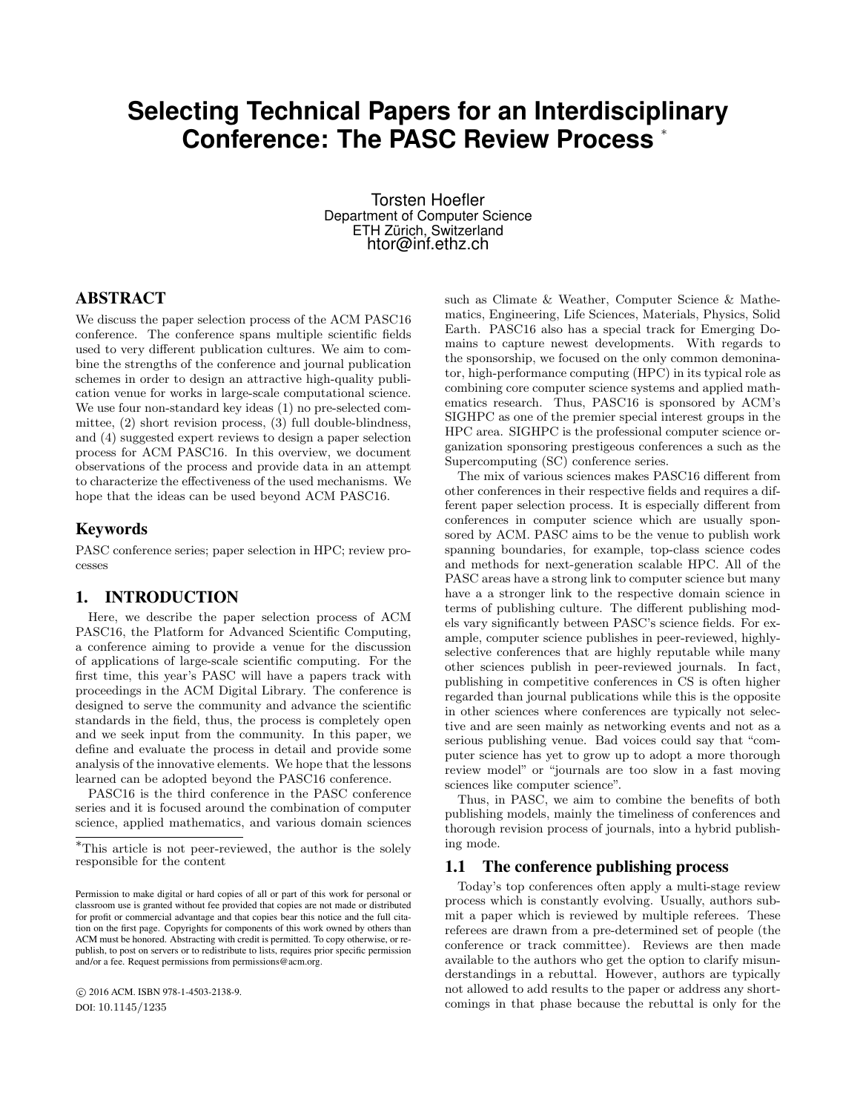# **Selecting Technical Papers for an Interdisciplinary Conference: The PASC Review Process** <sup>∗</sup>

Torsten Hoefler Department of Computer Science ETH Zürich, Switzerland htor@inf.ethz.ch

# ABSTRACT

We discuss the paper selection process of the ACM PASC16 conference. The conference spans multiple scientific fields used to very different publication cultures. We aim to combine the strengths of the conference and journal publication schemes in order to design an attractive high-quality publication venue for works in large-scale computational science. We use four non-standard key ideas (1) no pre-selected committee, (2) short revision process, (3) full double-blindness, and (4) suggested expert reviews to design a paper selection process for ACM PASC16. In this overview, we document observations of the process and provide data in an attempt to characterize the effectiveness of the used mechanisms. We hope that the ideas can be used beyond ACM PASC16.

## Keywords

PASC conference series; paper selection in HPC; review processes

## 1. INTRODUCTION

Here, we describe the paper selection process of ACM PASC16, the Platform for Advanced Scientific Computing, a conference aiming to provide a venue for the discussion of applications of large-scale scientific computing. For the first time, this year's PASC will have a papers track with proceedings in the ACM Digital Library. The conference is designed to serve the community and advance the scientific standards in the field, thus, the process is completely open and we seek input from the community. In this paper, we define and evaluate the process in detail and provide some analysis of the innovative elements. We hope that the lessons learned can be adopted beyond the PASC16 conference.

PASC16 is the third conference in the PASC conference series and it is focused around the combination of computer science, applied mathematics, and various domain sciences

 c 2016 ACM. ISBN 978-1-4503-2138-9. DOI: 10.1145/1235

such as Climate & Weather, Computer Science & Mathematics, Engineering, Life Sciences, Materials, Physics, Solid Earth. PASC16 also has a special track for Emerging Domains to capture newest developments. With regards to the sponsorship, we focused on the only common demoninator, high-performance computing (HPC) in its typical role as combining core computer science systems and applied mathematics research. Thus, PASC16 is sponsored by ACM's SIGHPC as one of the premier special interest groups in the HPC area. SIGHPC is the professional computer science organization sponsoring prestigeous conferences a such as the Supercomputing (SC) conference series.

The mix of various sciences makes PASC16 different from other conferences in their respective fields and requires a different paper selection process. It is especially different from conferences in computer science which are usually sponsored by ACM. PASC aims to be the venue to publish work spanning boundaries, for example, top-class science codes and methods for next-generation scalable HPC. All of the PASC areas have a strong link to computer science but many have a a stronger link to the respective domain science in terms of publishing culture. The different publishing models vary significantly between PASC's science fields. For example, computer science publishes in peer-reviewed, highlyselective conferences that are highly reputable while many other sciences publish in peer-reviewed journals. In fact, publishing in competitive conferences in CS is often higher regarded than journal publications while this is the opposite in other sciences where conferences are typically not selective and are seen mainly as networking events and not as a serious publishing venue. Bad voices could say that "computer science has yet to grow up to adopt a more thorough review model" or "journals are too slow in a fast moving sciences like computer science".

Thus, in PASC, we aim to combine the benefits of both publishing models, mainly the timeliness of conferences and thorough revision process of journals, into a hybrid publishing mode.

## 1.1 The conference publishing process

Today's top conferences often apply a multi-stage review process which is constantly evolving. Usually, authors submit a paper which is reviewed by multiple referees. These referees are drawn from a pre-determined set of people (the conference or track committee). Reviews are then made available to the authors who get the option to clarify misunderstandings in a rebuttal. However, authors are typically not allowed to add results to the paper or address any shortcomings in that phase because the rebuttal is only for the

<sup>∗</sup>This article is not peer-reviewed, the author is the solely responsible for the content

Permission to make digital or hard copies of all or part of this work for personal or classroom use is granted without fee provided that copies are not made or distributed for profit or commercial advantage and that copies bear this notice and the full citation on the first page. Copyrights for components of this work owned by others than ACM must be honored. Abstracting with credit is permitted. To copy otherwise, or republish, to post on servers or to redistribute to lists, requires prior specific permission and/or a fee. Request permissions from permissions@acm.org.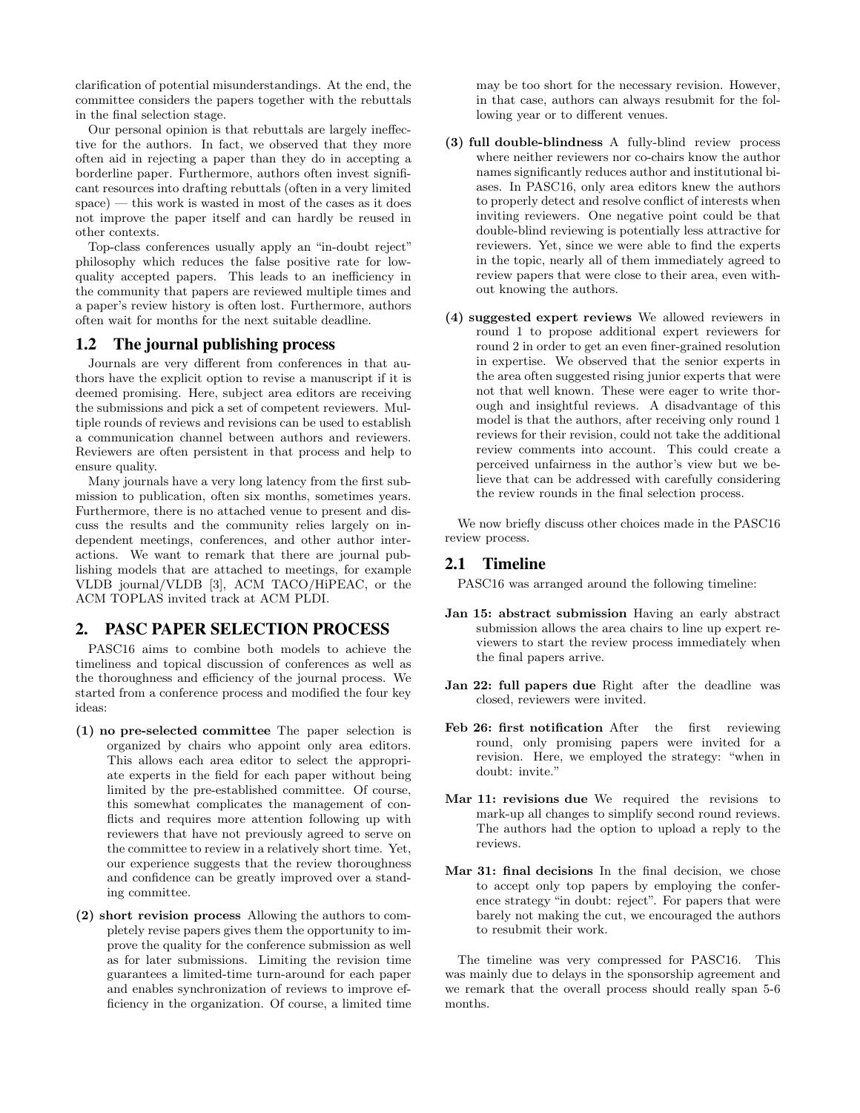clarification of potential misunderstandings. At the end, the committee considers the papers together with the rebuttals in the final selection stage.

Our personal opinion is that rebuttals are largely ineffective for the authors. In fact, we observed that they more often aid in rejecting a paper than they do in accepting a borderline paper. Furthermore, authors often invest significant resources into drafting rebuttals (often in a very limited space) — this work is wasted in most of the cases as it does not improve the paper itself and can hardly be reused in other contexts.

Top-class conferences usually apply an "in-doubt reject" philosophy which reduces the false positive rate for lowquality accepted papers. This leads to an inefficiency in the community that papers are reviewed multiple times and a paper's review history is often lost. Furthermore, authors often wait for months for the next suitable deadline.

#### 1.2 The journal publishing process

Journals are very different from conferences in that authors have the explicit option to revise a manuscript if it is deemed promising. Here, subject area editors are receiving the submissions and pick a set of competent reviewers. Multiple rounds of reviews and revisions can be used to establish a communication channel between authors and reviewers. Reviewers are often persistent in that process and help to ensure quality.

Many journals have a very long latency from the first submission to publication, often six months, sometimes years. Furthermore, there is no attached venue to present and discuss the results and the community relies largely on independent meetings, conferences, and other author interactions. We want to remark that there are journal publishing models that are attached to meetings, for example VLDB journal/VLDB [3], ACM TACO/HiPEAC, or the ACM TOPLAS invited track at ACM PLDI.

## 2. PASC PAPER SELECTION PROCESS

PASC16 aims to combine both models to achieve the timeliness and topical discussion of conferences as well as the thoroughness and efficiency of the journal process. We started from a conference process and modified the four key ideas:

- (1) no pre-selected committee The paper selection is organized by chairs who appoint only area editors. This allows each area editor to select the appropriate experts in the field for each paper without being limited by the pre-established committee. Of course, this somewhat complicates the management of conflicts and requires more attention following up with reviewers that have not previously agreed to serve on the committee to review in a relatively short time. Yet, our experience suggests that the review thoroughness and confidence can be greatly improved over a standing committee.
- (2) short revision process Allowing the authors to completely revise papers gives them the opportunity to improve the quality for the conference submission as well as for later submissions. Limiting the revision time guarantees a limited-time turn-around for each paper and enables synchronization of reviews to improve efficiency in the organization. Of course, a limited time

may be too short for the necessary revision. However, in that case, authors can always resubmit for the following year or to different venues.

- (3) full double-blindness A fully-blind review process where neither reviewers nor co-chairs know the author names significantly reduces author and institutional biases. In PASC16, only area editors knew the authors to properly detect and resolve conflict of interests when inviting reviewers. One negative point could be that double-blind reviewing is potentially less attractive for reviewers. Yet, since we were able to find the experts in the topic, nearly all of them immediately agreed to review papers that were close to their area, even without knowing the authors.
- (4) suggested expert reviews We allowed reviewers in round 1 to propose additional expert reviewers for round 2 in order to get an even finer-grained resolution in expertise. We observed that the senior experts in the area often suggested rising junior experts that were not that well known. These were eager to write thorough and insightful reviews. A disadvantage of this model is that the authors, after receiving only round 1 reviews for their revision, could not take the additional review comments into account. This could create a perceived unfairness in the author's view but we believe that can be addressed with carefully considering the review rounds in the final selection process.

We now briefly discuss other choices made in the PASC16 review process.

# 2.1 Timeline

PASC16 was arranged around the following timeline:

- Jan 15: abstract submission Having an early abstract submission allows the area chairs to line up expert reviewers to start the review process immediately when the final papers arrive.
- Jan 22: full papers due Right after the deadline was closed, reviewers were invited.
- Feb 26: first notification After the first reviewing round, only promising papers were invited for a revision. Here, we employed the strategy: "when in doubt: invite."
- Mar 11: revisions due We required the revisions to mark-up all changes to simplify second round reviews. The authors had the option to upload a reply to the reviews.
- Mar 31: final decisions In the final decision, we chose to accept only top papers by employing the conference strategy "in doubt: reject". For papers that were barely not making the cut, we encouraged the authors to resubmit their work.

The timeline was very compressed for PASC16. This was mainly due to delays in the sponsorship agreement and we remark that the overall process should really span 5-6 months.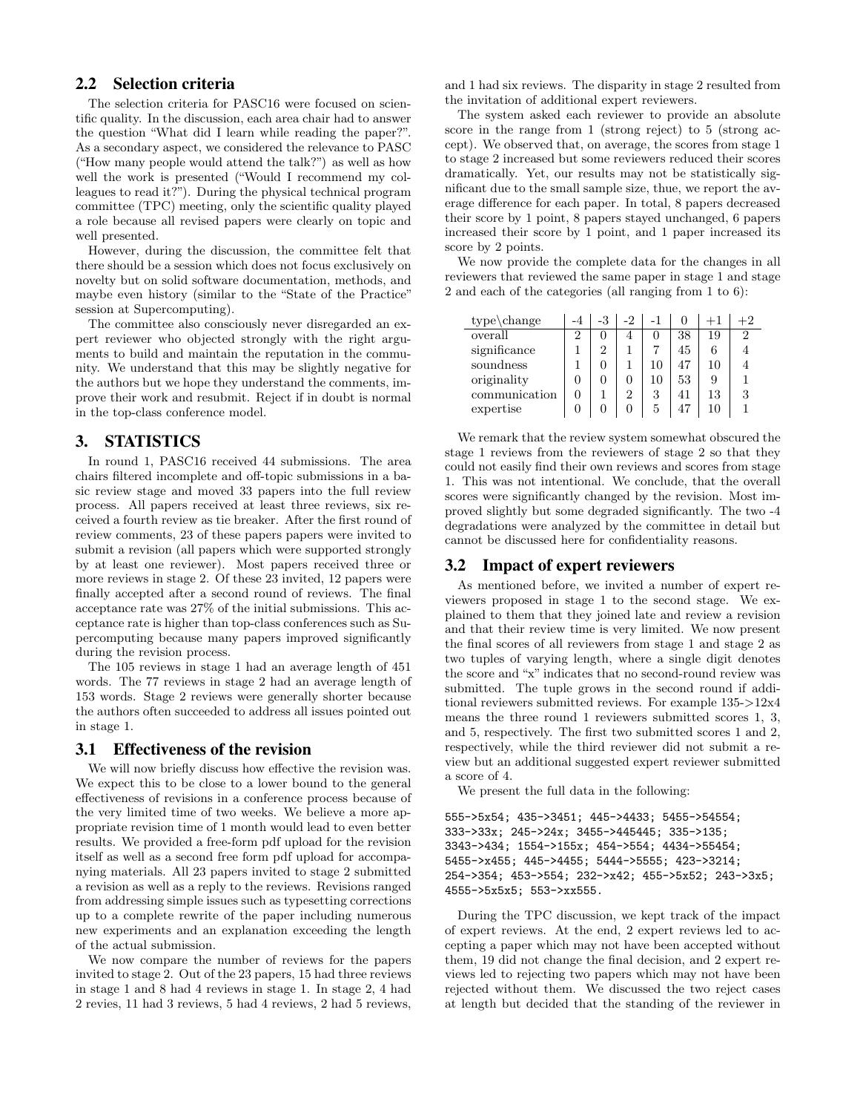# 2.2 Selection criteria

The selection criteria for PASC16 were focused on scientific quality. In the discussion, each area chair had to answer the question "What did I learn while reading the paper?". As a secondary aspect, we considered the relevance to PASC ("How many people would attend the talk?") as well as how well the work is presented ("Would I recommend my colleagues to read it?"). During the physical technical program committee (TPC) meeting, only the scientific quality played a role because all revised papers were clearly on topic and well presented.

However, during the discussion, the committee felt that there should be a session which does not focus exclusively on novelty but on solid software documentation, methods, and maybe even history (similar to the "State of the Practice" session at Supercomputing).

The committee also consciously never disregarded an expert reviewer who objected strongly with the right arguments to build and maintain the reputation in the community. We understand that this may be slightly negative for the authors but we hope they understand the comments, improve their work and resubmit. Reject if in doubt is normal in the top-class conference model.

# 3. STATISTICS

In round 1, PASC16 received 44 submissions. The area chairs filtered incomplete and off-topic submissions in a basic review stage and moved 33 papers into the full review process. All papers received at least three reviews, six received a fourth review as tie breaker. After the first round of review comments, 23 of these papers papers were invited to submit a revision (all papers which were supported strongly by at least one reviewer). Most papers received three or more reviews in stage 2. Of these 23 invited, 12 papers were finally accepted after a second round of reviews. The final acceptance rate was 27% of the initial submissions. This acceptance rate is higher than top-class conferences such as Supercomputing because many papers improved significantly during the revision process.

The 105 reviews in stage 1 had an average length of 451 words. The 77 reviews in stage 2 had an average length of 153 words. Stage 2 reviews were generally shorter because the authors often succeeded to address all issues pointed out in stage 1.

## 3.1 Effectiveness of the revision

We will now briefly discuss how effective the revision was. We expect this to be close to a lower bound to the general effectiveness of revisions in a conference process because of the very limited time of two weeks. We believe a more appropriate revision time of 1 month would lead to even better results. We provided a free-form pdf upload for the revision itself as well as a second free form pdf upload for accompanying materials. All 23 papers invited to stage 2 submitted a revision as well as a reply to the reviews. Revisions ranged from addressing simple issues such as typesetting corrections up to a complete rewrite of the paper including numerous new experiments and an explanation exceeding the length of the actual submission.

We now compare the number of reviews for the papers invited to stage 2. Out of the 23 papers, 15 had three reviews in stage 1 and 8 had 4 reviews in stage 1. In stage 2, 4 had 2 revies, 11 had 3 reviews, 5 had 4 reviews, 2 had 5 reviews, and 1 had six reviews. The disparity in stage 2 resulted from the invitation of additional expert reviewers.

The system asked each reviewer to provide an absolute score in the range from 1 (strong reject) to 5 (strong accept). We observed that, on average, the scores from stage 1 to stage 2 increased but some reviewers reduced their scores dramatically. Yet, our results may not be statistically significant due to the small sample size, thue, we report the average difference for each paper. In total, 8 papers decreased their score by 1 point, 8 papers stayed unchanged, 6 papers increased their score by 1 point, and 1 paper increased its score by 2 points.

We now provide the complete data for the changes in all reviewers that reviewed the same paper in stage 1 and stage 2 and each of the categories (all ranging from 1 to 6):

| $type\$ change |   | $-2$ |    |    |    |   |
|----------------|---|------|----|----|----|---|
| overall        |   |      |    | 38 | 19 | 2 |
| significance   | 2 |      |    | 45 | 6  |   |
| soundness      |   |      |    | 47 | 10 |   |
| originality    |   |      | 10 | 53 |    |   |
| communication  |   | 2    |    | 41 | 13 |   |
| expertise      |   |      | 5  | 47 | 10 |   |

We remark that the review system somewhat obscured the stage 1 reviews from the reviewers of stage 2 so that they could not easily find their own reviews and scores from stage 1. This was not intentional. We conclude, that the overall scores were significantly changed by the revision. Most improved slightly but some degraded significantly. The two -4 degradations were analyzed by the committee in detail but cannot be discussed here for confidentiality reasons.

## 3.2 Impact of expert reviewers

As mentioned before, we invited a number of expert reviewers proposed in stage 1 to the second stage. We explained to them that they joined late and review a revision and that their review time is very limited. We now present the final scores of all reviewers from stage 1 and stage 2 as two tuples of varying length, where a single digit denotes the score and "x" indicates that no second-round review was submitted. The tuple grows in the second round if additional reviewers submitted reviews. For example 135->12x4 means the three round 1 reviewers submitted scores 1, 3, and 5, respectively. The first two submitted scores 1 and 2, respectively, while the third reviewer did not submit a review but an additional suggested expert reviewer submitted a score of 4.

We present the full data in the following:

```
555->5x54; 435->3451; 445->4433; 5455->54554;
333->33x; 245->24x; 3455->445445; 335->135;
3343->434; 1554->155x; 454->554; 4434->55454;
5455->x455; 445->4455; 5444->5555; 423->3214;
254->354; 453->554; 232->x42; 455->5x52; 243->3x5;
4555->5x5x5; 553->xx555.
```
During the TPC discussion, we kept track of the impact of expert reviews. At the end, 2 expert reviews led to accepting a paper which may not have been accepted without them, 19 did not change the final decision, and 2 expert reviews led to rejecting two papers which may not have been rejected without them. We discussed the two reject cases at length but decided that the standing of the reviewer in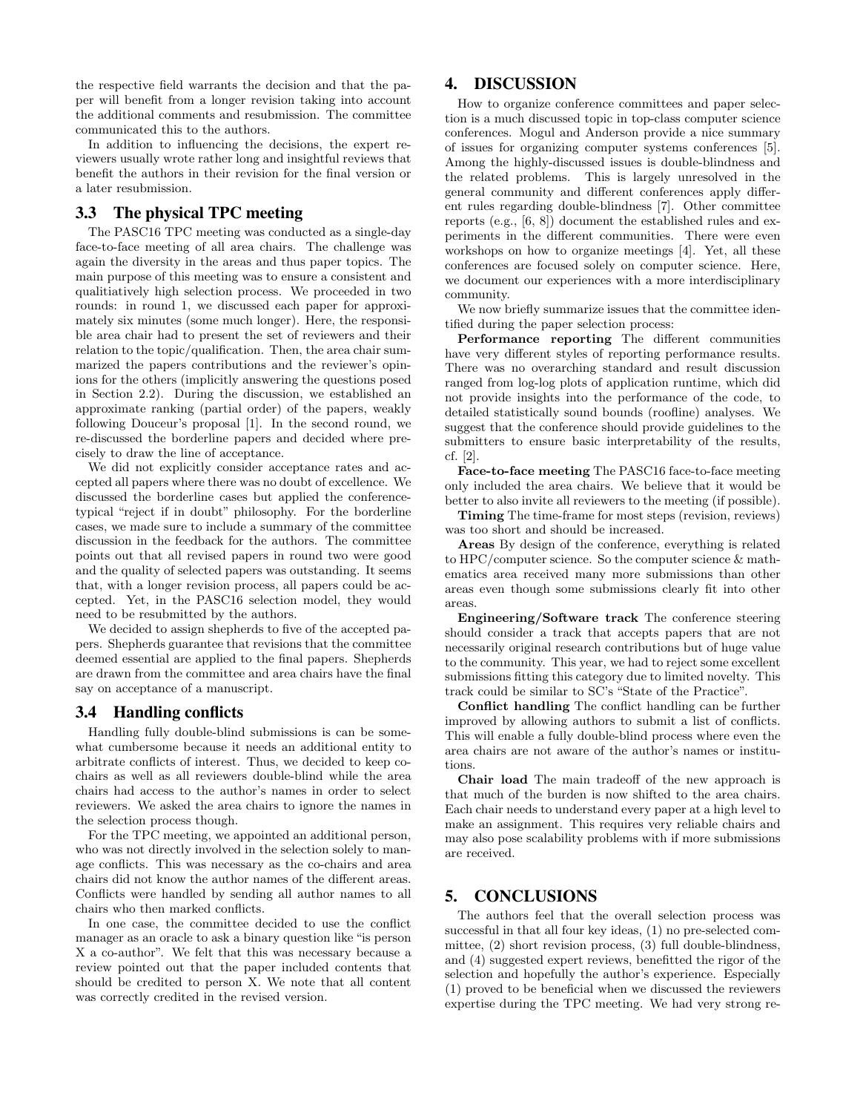the respective field warrants the decision and that the paper will benefit from a longer revision taking into account the additional comments and resubmission. The committee communicated this to the authors.

In addition to influencing the decisions, the expert reviewers usually wrote rather long and insightful reviews that benefit the authors in their revision for the final version or a later resubmission.

## 3.3 The physical TPC meeting

The PASC16 TPC meeting was conducted as a single-day face-to-face meeting of all area chairs. The challenge was again the diversity in the areas and thus paper topics. The main purpose of this meeting was to ensure a consistent and qualitiatively high selection process. We proceeded in two rounds: in round 1, we discussed each paper for approximately six minutes (some much longer). Here, the responsible area chair had to present the set of reviewers and their relation to the topic/qualification. Then, the area chair summarized the papers contributions and the reviewer's opinions for the others (implicitly answering the questions posed in Section 2.2). During the discussion, we established an approximate ranking (partial order) of the papers, weakly following Douceur's proposal [1]. In the second round, we re-discussed the borderline papers and decided where precisely to draw the line of acceptance.

We did not explicitly consider acceptance rates and accepted all papers where there was no doubt of excellence. We discussed the borderline cases but applied the conferencetypical "reject if in doubt" philosophy. For the borderline cases, we made sure to include a summary of the committee discussion in the feedback for the authors. The committee points out that all revised papers in round two were good and the quality of selected papers was outstanding. It seems that, with a longer revision process, all papers could be accepted. Yet, in the PASC16 selection model, they would need to be resubmitted by the authors.

We decided to assign shepherds to five of the accepted papers. Shepherds guarantee that revisions that the committee deemed essential are applied to the final papers. Shepherds are drawn from the committee and area chairs have the final say on acceptance of a manuscript.

#### 3.4 Handling conflicts

Handling fully double-blind submissions is can be somewhat cumbersome because it needs an additional entity to arbitrate conflicts of interest. Thus, we decided to keep cochairs as well as all reviewers double-blind while the area chairs had access to the author's names in order to select reviewers. We asked the area chairs to ignore the names in the selection process though.

For the TPC meeting, we appointed an additional person, who was not directly involved in the selection solely to manage conflicts. This was necessary as the co-chairs and area chairs did not know the author names of the different areas. Conflicts were handled by sending all author names to all chairs who then marked conflicts.

In one case, the committee decided to use the conflict manager as an oracle to ask a binary question like "is person X a co-author". We felt that this was necessary because a review pointed out that the paper included contents that should be credited to person X. We note that all content was correctly credited in the revised version.

## 4. DISCUSSION

How to organize conference committees and paper selection is a much discussed topic in top-class computer science conferences. Mogul and Anderson provide a nice summary of issues for organizing computer systems conferences [5]. Among the highly-discussed issues is double-blindness and the related problems. This is largely unresolved in the general community and different conferences apply different rules regarding double-blindness [7]. Other committee reports (e.g., [6, 8]) document the established rules and experiments in the different communities. There were even workshops on how to organize meetings [4]. Yet, all these conferences are focused solely on computer science. Here, we document our experiences with a more interdisciplinary community.

We now briefly summarize issues that the committee identified during the paper selection process:

Performance reporting The different communities have very different styles of reporting performance results. There was no overarching standard and result discussion ranged from log-log plots of application runtime, which did not provide insights into the performance of the code, to detailed statistically sound bounds (roofline) analyses. We suggest that the conference should provide guidelines to the submitters to ensure basic interpretability of the results, cf. [2].

Face-to-face meeting The PASC16 face-to-face meeting only included the area chairs. We believe that it would be better to also invite all reviewers to the meeting (if possible).

Timing The time-frame for most steps (revision, reviews) was too short and should be increased.

Areas By design of the conference, everything is related to HPC/computer science. So the computer science & mathematics area received many more submissions than other areas even though some submissions clearly fit into other areas.

Engineering/Software track The conference steering should consider a track that accepts papers that are not necessarily original research contributions but of huge value to the community. This year, we had to reject some excellent submissions fitting this category due to limited novelty. This track could be similar to SC's "State of the Practice".

Conflict handling The conflict handling can be further improved by allowing authors to submit a list of conflicts. This will enable a fully double-blind process where even the area chairs are not aware of the author's names or institutions.

Chair load The main tradeoff of the new approach is that much of the burden is now shifted to the area chairs. Each chair needs to understand every paper at a high level to make an assignment. This requires very reliable chairs and may also pose scalability problems with if more submissions are received.

# 5. CONCLUSIONS

The authors feel that the overall selection process was successful in that all four key ideas, (1) no pre-selected committee, (2) short revision process, (3) full double-blindness, and (4) suggested expert reviews, benefitted the rigor of the selection and hopefully the author's experience. Especially (1) proved to be beneficial when we discussed the reviewers expertise during the TPC meeting. We had very strong re